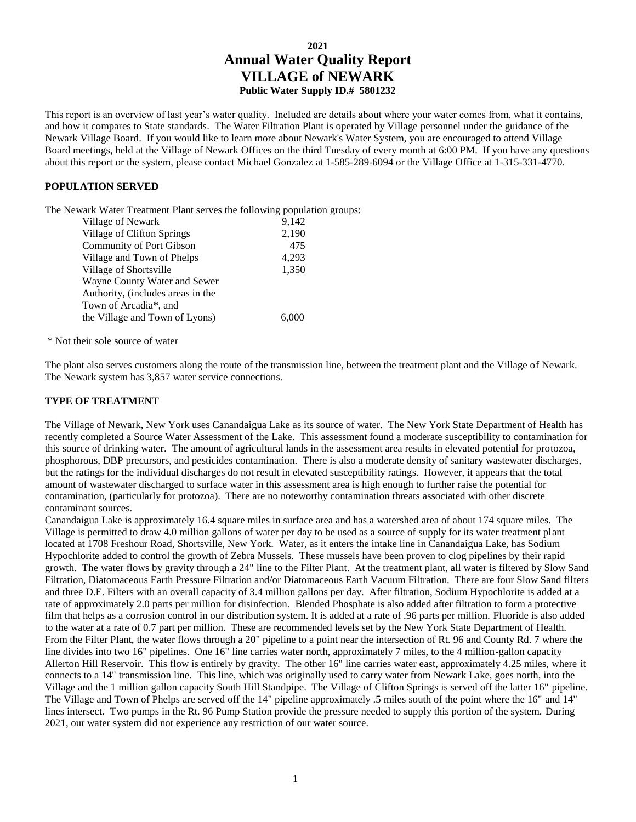# **2021 Annual Water Quality Report VILLAGE of NEWARK Public Water Supply ID.# 5801232**

This report is an overview of last year's water quality. Included are details about where your water comes from, what it contains, and how it compares to State standards. The Water Filtration Plant is operated by Village personnel under the guidance of the Newark Village Board. If you would like to learn more about Newark's Water System, you are encouraged to attend Village Board meetings, held at the Village of Newark Offices on the third Tuesday of every month at 6:00 PM. If you have any questions about this report or the system, please contact Michael Gonzalez at 1-585-289-6094 or the Village Office at 1-315-331-4770.

#### **POPULATION SERVED**

The Newark Water Treatment Plant serves the following population groups:

| Village of Newark                 | 9,142 |
|-----------------------------------|-------|
| Village of Clifton Springs        | 2,190 |
| Community of Port Gibson          | 475   |
| Village and Town of Phelps        | 4,293 |
| Village of Shortsville            | 1,350 |
| Wayne County Water and Sewer      |       |
| Authority, (includes areas in the |       |
| Town of Arcadia*, and             |       |
| the Village and Town of Lyons)    |       |

\* Not their sole source of water

The plant also serves customers along the route of the transmission line, between the treatment plant and the Village of Newark. The Newark system has 3,857 water service connections.

#### **TYPE OF TREATMENT**

The Village of Newark, New York uses Canandaigua Lake as its source of water. The New York State Department of Health has recently completed a Source Water Assessment of the Lake. This assessment found a moderate susceptibility to contamination for this source of drinking water. The amount of agricultural lands in the assessment area results in elevated potential for protozoa, phosphorous, DBP precursors, and pesticides contamination. There is also a moderate density of sanitary wastewater discharges, but the ratings for the individual discharges do not result in elevated susceptibility ratings. However, it appears that the total amount of wastewater discharged to surface water in this assessment area is high enough to further raise the potential for contamination, (particularly for protozoa). There are no noteworthy contamination threats associated with other discrete contaminant sources.

Canandaigua Lake is approximately 16.4 square miles in surface area and has a watershed area of about 174 square miles. The Village is permitted to draw 4.0 million gallons of water per day to be used as a source of supply for its water treatment plant located at 1708 Freshour Road, Shortsville, New York. Water, as it enters the intake line in Canandaigua Lake, has Sodium Hypochlorite added to control the growth of Zebra Mussels. These mussels have been proven to clog pipelines by their rapid growth. The water flows by gravity through a 24" line to the Filter Plant. At the treatment plant, all water is filtered by Slow Sand Filtration, Diatomaceous Earth Pressure Filtration and/or Diatomaceous Earth Vacuum Filtration. There are four Slow Sand filters and three D.E. Filters with an overall capacity of 3.4 million gallons per day. After filtration, Sodium Hypochlorite is added at a rate of approximately 2.0 parts per million for disinfection. Blended Phosphate is also added after filtration to form a protective film that helps as a corrosion control in our distribution system. It is added at a rate of .96 parts per million. Fluoride is also added to the water at a rate of 0.7 part per million. These are recommended levels set by the New York State Department of Health. From the Filter Plant, the water flows through a 20" pipeline to a point near the intersection of Rt. 96 and County Rd. 7 where the line divides into two 16" pipelines. One 16" line carries water north, approximately 7 miles, to the 4 million-gallon capacity Allerton Hill Reservoir. This flow is entirely by gravity. The other 16" line carries water east, approximately 4.25 miles, where it connects to a 14" transmission line. This line, which was originally used to carry water from Newark Lake, goes north, into the Village and the 1 million gallon capacity South Hill Standpipe. The Village of Clifton Springs is served off the latter 16" pipeline. The Village and Town of Phelps are served off the 14" pipeline approximately .5 miles south of the point where the 16" and 14" lines intersect. Two pumps in the Rt. 96 Pump Station provide the pressure needed to supply this portion of the system. During 2021, our water system did not experience any restriction of our water source.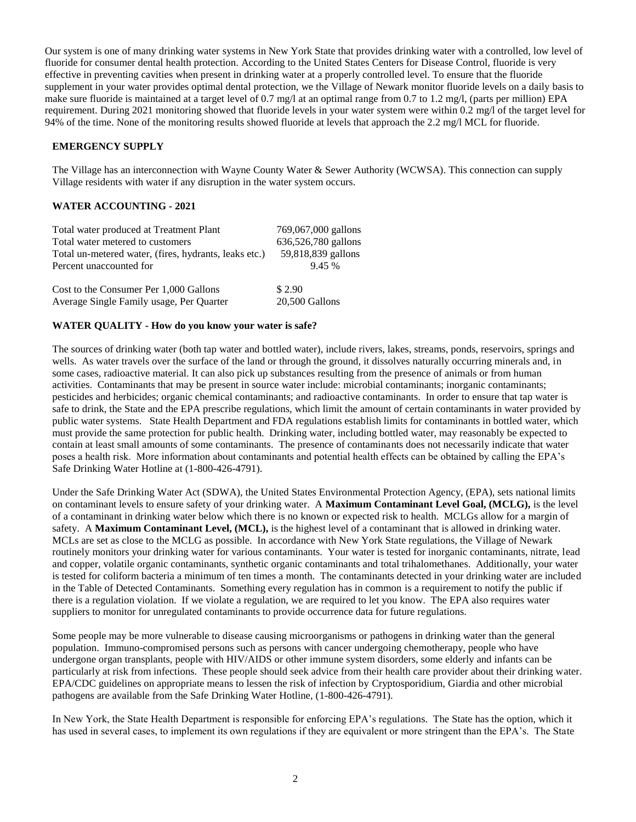Our system is one of many drinking water systems in New York State that provides drinking water with a controlled, low level of fluoride for consumer dental health protection. According to the United States Centers for Disease Control, fluoride is very effective in preventing cavities when present in drinking water at a properly controlled level. To ensure that the fluoride supplement in your water provides optimal dental protection, we the Village of Newark monitor fluoride levels on a daily basis to make sure fluoride is maintained at a target level of 0.7 mg/l at an optimal range from 0.7 to 1.2 mg/l, (parts per million) EPA requirement. During 2021 monitoring showed that fluoride levels in your water system were within 0.2 mg/l of the target level for 94% of the time. None of the monitoring results showed fluoride at levels that approach the 2.2 mg/l MCL for fluoride.

#### **EMERGENCY SUPPLY**

The Village has an interconnection with Wayne County Water & Sewer Authority (WCWSA). This connection can supply Village residents with water if any disruption in the water system occurs.

#### **WATER ACCOUNTING - 2021**

| Total water produced at Treatment Plant               | 769,067,000 gallons |
|-------------------------------------------------------|---------------------|
| Total water metered to customers                      | 636,526,780 gallons |
| Total un-metered water, (fires, hydrants, leaks etc.) | 59,818,839 gallons  |
| Percent unaccounted for                               | 9.45 %              |
|                                                       |                     |
| Cost to the Consumer Per 1,000 Gallons                | \$2.90              |
| Average Single Family usage, Per Quarter              | 20,500 Gallons      |

#### **WATER QUALITY - How do you know your water is safe?**

The sources of drinking water (both tap water and bottled water), include rivers, lakes, streams, ponds, reservoirs, springs and wells. As water travels over the surface of the land or through the ground, it dissolves naturally occurring minerals and, in some cases, radioactive material. It can also pick up substances resulting from the presence of animals or from human activities. Contaminants that may be present in source water include: microbial contaminants; inorganic contaminants; pesticides and herbicides; organic chemical contaminants; and radioactive contaminants. In order to ensure that tap water is safe to drink, the State and the EPA prescribe regulations, which limit the amount of certain contaminants in water provided by public water systems. State Health Department and FDA regulations establish limits for contaminants in bottled water, which must provide the same protection for public health. Drinking water, including bottled water, may reasonably be expected to contain at least small amounts of some contaminants. The presence of contaminants does not necessarily indicate that water poses a health risk. More information about contaminants and potential health effects can be obtained by calling the EPA's Safe Drinking Water Hotline at (1-800-426-4791).

Under the Safe Drinking Water Act (SDWA), the United States Environmental Protection Agency, (EPA), sets national limits on contaminant levels to ensure safety of your drinking water. A **Maximum Contaminant Level Goal, (MCLG),** is the level of a contaminant in drinking water below which there is no known or expected risk to health. MCLGs allow for a margin of safety. A **Maximum Contaminant Level, (MCL),** is the highest level of a contaminant that is allowed in drinking water. MCLs are set as close to the MCLG as possible. In accordance with New York State regulations, the Village of Newark routinely monitors your drinking water for various contaminants. Your water is tested for inorganic contaminants, nitrate, lead and copper, volatile organic contaminants, synthetic organic contaminants and total trihalomethanes. Additionally, your water is tested for coliform bacteria a minimum of ten times a month. The contaminants detected in your drinking water are included in the Table of Detected Contaminants. Something every regulation has in common is a requirement to notify the public if there is a regulation violation. If we violate a regulation, we are required to let you know. The EPA also requires water suppliers to monitor for unregulated contaminants to provide occurrence data for future regulations.

Some people may be more vulnerable to disease causing microorganisms or pathogens in drinking water than the general population. Immuno-compromised persons such as persons with cancer undergoing chemotherapy, people who have undergone organ transplants, people with HIV/AIDS or other immune system disorders, some elderly and infants can be particularly at risk from infections. These people should seek advice from their health care provider about their drinking water. EPA/CDC guidelines on appropriate means to lessen the risk of infection by Cryptosporidium, Giardia and other microbial pathogens are available from the Safe Drinking Water Hotline, (1-800-426-4791).

In New York, the State Health Department is responsible for enforcing EPA's regulations. The State has the option, which it has used in several cases, to implement its own regulations if they are equivalent or more stringent than the EPA's. The State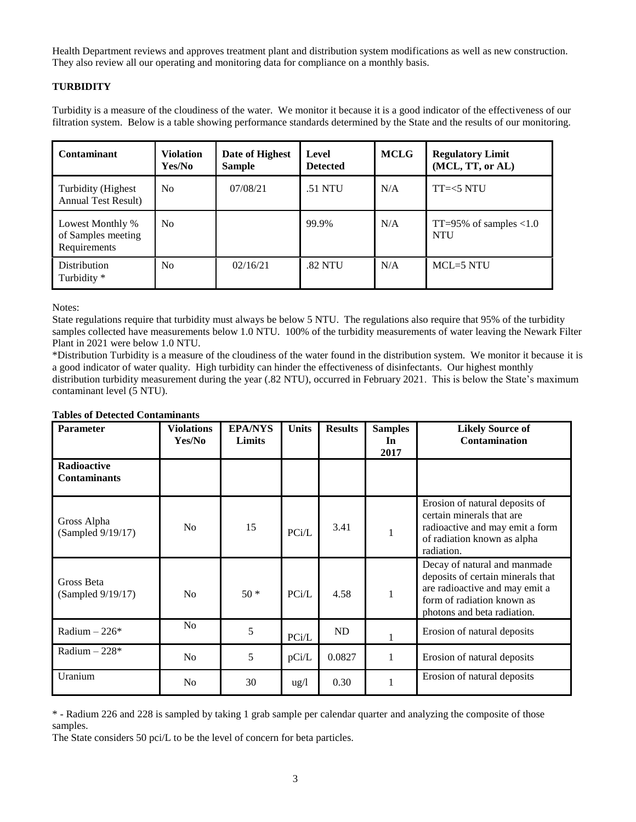Health Department reviews and approves treatment plant and distribution system modifications as well as new construction. They also review all our operating and monitoring data for compliance on a monthly basis.

# **TURBIDITY**

Turbidity is a measure of the cloudiness of the water. We monitor it because it is a good indicator of the effectiveness of our filtration system. Below is a table showing performance standards determined by the State and the results of our monitoring.

| Contaminant                                            | <b>Violation</b><br>Yes/No | Date of Highest<br><b>Sample</b> | Level<br><b>Detected</b> | <b>MCLG</b> | <b>Regulatory Limit</b><br>(MCL, TT, or AL)  |
|--------------------------------------------------------|----------------------------|----------------------------------|--------------------------|-------------|----------------------------------------------|
| Turbidity (Highest)<br><b>Annual Test Result)</b>      | N <sub>0</sub>             | 07/08/21                         | .51 NTU                  | N/A         | $TT=<5 NTU$                                  |
| Lowest Monthly %<br>of Samples meeting<br>Requirements | N <sub>0</sub>             |                                  | 99.9%                    | N/A         | $TT = 95\%$ of samples $< 1.0$<br><b>NTU</b> |
| Distribution<br>Turbidity *                            | N <sub>0</sub>             | 02/16/21                         | .82 NTU                  | N/A         | $MCL=5 N T U$                                |

Notes:

State regulations require that turbidity must always be below 5 NTU. The regulations also require that 95% of the turbidity samples collected have measurements below 1.0 NTU. 100% of the turbidity measurements of water leaving the Newark Filter Plant in 2021 were below 1.0 NTU.

\*Distribution Turbidity is a measure of the cloudiness of the water found in the distribution system. We monitor it because it is a good indicator of water quality. High turbidity can hinder the effectiveness of disinfectants. Our highest monthly distribution turbidity measurement during the year (.82 NTU), occurred in February 2021. This is below the State's maximum contaminant level (5 NTU).

| <b>Parameter</b>                   | <b>Violations</b><br>Yes/No | <b>EPA/NYS</b><br>Limits | <b>Units</b>    | <b>Results</b> | <b>Samples</b><br>In<br>2017 | <b>Likely Source of</b><br>Contamination                                                                                                                         |
|------------------------------------|-----------------------------|--------------------------|-----------------|----------------|------------------------------|------------------------------------------------------------------------------------------------------------------------------------------------------------------|
| Radioactive<br><b>Contaminants</b> |                             |                          |                 |                |                              |                                                                                                                                                                  |
| Gross Alpha<br>(Sampled 9/19/17)   | N <sub>0</sub>              | 15                       | PCi/L           | 3.41           | $\mathbf{1}$                 | Erosion of natural deposits of<br>certain minerals that are<br>radioactive and may emit a form<br>of radiation known as alpha<br>radiation.                      |
| Gross Beta<br>(Sampled 9/19/17)    | No                          | $50*$                    | PCi/L           | 4.58           | $\mathbf{1}$                 | Decay of natural and manmade<br>deposits of certain minerals that<br>are radioactive and may emit a<br>form of radiation known as<br>photons and beta radiation. |
| Radium $-226*$                     | N <sub>o</sub>              | 5                        | PCi/L           | ND             |                              | Erosion of natural deposits                                                                                                                                      |
| Radium $-228*$                     | N <sub>o</sub>              | 5                        | pCi/L           | 0.0827         | 1                            | Erosion of natural deposits                                                                                                                                      |
| Uranium                            | N <sub>0</sub>              | 30                       | $\frac{u g}{l}$ | 0.30           | $\mathbf{1}$                 | Erosion of natural deposits                                                                                                                                      |

#### **Tables of Detected Contaminants**

\* - Radium 226 and 228 is sampled by taking 1 grab sample per calendar quarter and analyzing the composite of those samples.

The State considers 50 pci/L to be the level of concern for beta particles.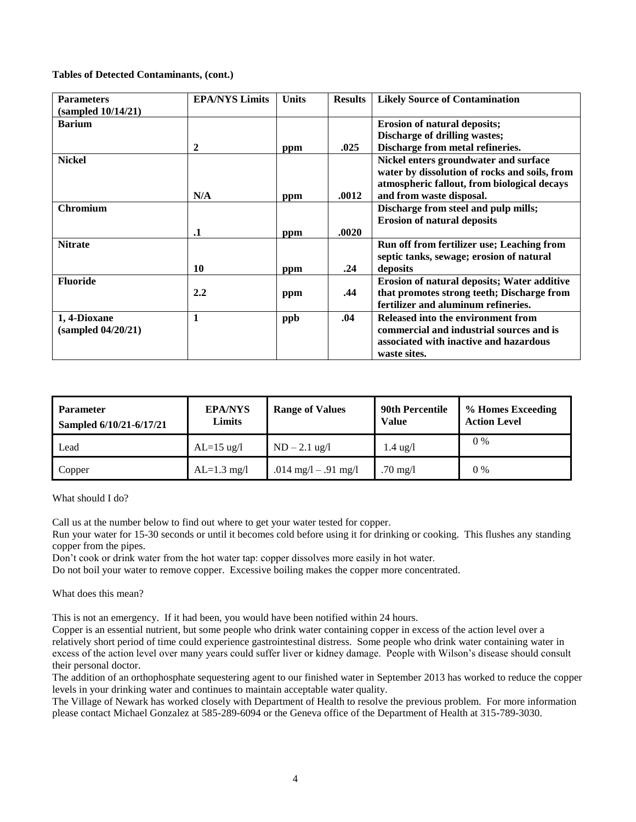#### **Tables of Detected Contaminants, (cont.)**

| <b>Parameters</b><br>(sampled 10/14/21) | <b>EPA/NYS Limits</b> | <b>Units</b> | <b>Results</b> | <b>Likely Source of Contamination</b>         |
|-----------------------------------------|-----------------------|--------------|----------------|-----------------------------------------------|
| <b>Barium</b>                           |                       |              |                | <b>Erosion of natural deposits;</b>           |
|                                         |                       |              |                | Discharge of drilling wastes;                 |
|                                         | 2                     | ppm          | .025           | Discharge from metal refineries.              |
| <b>Nickel</b>                           |                       |              |                | Nickel enters groundwater and surface         |
|                                         |                       |              |                | water by dissolution of rocks and soils, from |
|                                         |                       |              |                | atmospheric fallout, from biological decays   |
|                                         | N/A                   | ppm          | .0012          | and from waste disposal.                      |
| Chromium                                |                       |              |                | Discharge from steel and pulp mills;          |
|                                         |                       |              |                | <b>Erosion of natural deposits</b>            |
|                                         | $\cdot$               | ppm          | .0020          |                                               |
| <b>Nitrate</b>                          |                       |              |                | Run off from fertilizer use; Leaching from    |
|                                         |                       |              |                | septic tanks, sewage; erosion of natural      |
|                                         | 10                    | ppm          | .24            | deposits                                      |
| <b>Fluoride</b>                         |                       |              |                | Erosion of natural deposits; Water additive   |
|                                         | 2.2                   | ppm          | .44            | that promotes strong teeth; Discharge from    |
|                                         |                       |              |                | fertilizer and aluminum refineries.           |
| 1, 4-Dioxane                            | $\mathbf{1}$          | ppb          | .04            | Released into the environment from            |
| (sampled 04/20/21)                      |                       |              |                | commercial and industrial sources and is      |
|                                         |                       |              |                | associated with inactive and hazardous        |
|                                         |                       |              |                | waste sites.                                  |

| <b>Parameter</b><br>Sampled 6/10/21-6/17/21 | <b>EPA/NYS</b><br>Limits | <b>Range of Values</b> | <b>90th Percentile</b><br><b>Value</b> | % Homes Exceeding<br><b>Action Level</b> |
|---------------------------------------------|--------------------------|------------------------|----------------------------------------|------------------------------------------|
| Lead                                        | $AL=15$ ug/l             | $ND - 2.1$ ug/l        | $1.4 \text{ ug}/l$                     | $0\%$                                    |
| Copper                                      | $AL=1.3$ mg/l            | .014 mg/l $-$ .91 mg/l | .70 mg/l                               | $0\%$                                    |

What should I do?

Call us at the number below to find out where to get your water tested for copper.

Run your water for 15-30 seconds or until it becomes cold before using it for drinking or cooking. This flushes any standing copper from the pipes.

Don't cook or drink water from the hot water tap: copper dissolves more easily in hot water.

Do not boil your water to remove copper. Excessive boiling makes the copper more concentrated.

What does this mean?

This is not an emergency. If it had been, you would have been notified within 24 hours.

Copper is an essential nutrient, but some people who drink water containing copper in excess of the action level over a relatively short period of time could experience gastrointestinal distress. Some people who drink water containing water in excess of the action level over many years could suffer liver or kidney damage. People with Wilson's disease should consult their personal doctor.

The addition of an orthophosphate sequestering agent to our finished water in September 2013 has worked to reduce the copper levels in your drinking water and continues to maintain acceptable water quality.

The Village of Newark has worked closely with Department of Health to resolve the previous problem. For more information please contact Michael Gonzalez at 585-289-6094 or the Geneva office of the Department of Health at 315-789-3030.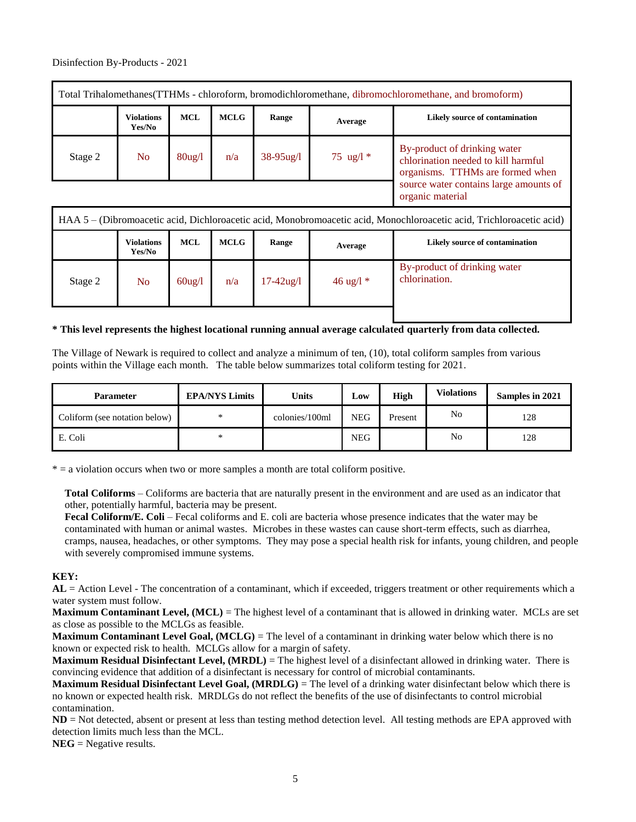| Total Trihalomethanes (TTHMs - chloroform, bromodichloromethane, dibromochloromethane, and bromoform) |                             |                                |             |                |             |                                                                                                         |  |  |  |
|-------------------------------------------------------------------------------------------------------|-----------------------------|--------------------------------|-------------|----------------|-------------|---------------------------------------------------------------------------------------------------------|--|--|--|
|                                                                                                       | <b>Violations</b><br>Yes/No | <b>MCL</b>                     | <b>MCLG</b> | Range          | Average     | Likely source of contamination                                                                          |  |  |  |
| Stage 2                                                                                               | N <sub>o</sub>              | $80\frac{\text{kg}}{\text{l}}$ | n/a         | $38 - 95$ ug/l | 75 ug/l $*$ | By-product of drinking water<br>chlorination needed to kill harmful<br>organisms. TTHMs are formed when |  |  |  |
|                                                                                                       |                             |                                |             |                |             | source water contains large amounts of<br>organic material                                              |  |  |  |

| HAA 5 – (Dibromoacetic acid, Dichloroacetic acid, Monobromoacetic acid, Monochloroacetic acid, Trichloroacetic acid) |                             |            |             |                |                     |                                               |  |  |  |
|----------------------------------------------------------------------------------------------------------------------|-----------------------------|------------|-------------|----------------|---------------------|-----------------------------------------------|--|--|--|
|                                                                                                                      | <b>Violations</b><br>Yes/No | <b>MCL</b> | <b>MCLG</b> | Range          | Average             | Likely source of contamination                |  |  |  |
| Stage 2                                                                                                              | N <sub>o</sub>              | $60$ ug/l  | n/a         | $17 - 42$ ug/l | $46 \text{ ug}/l *$ | By-product of drinking water<br>chlorination. |  |  |  |
|                                                                                                                      |                             |            |             |                |                     |                                               |  |  |  |

#### **\* This level represents the highest locational running annual average calculated quarterly from data collected.**

The Village of Newark is required to collect and analyze a minimum of ten, (10), total coliform samples from various points within the Village each month. The table below summarizes total coliform testing for 2021.

| <b>Parameter</b>              | <b>EPA/NYS Limits</b> | Units          | Low        | High    | <b>Violations</b> | Samples in 2021 |
|-------------------------------|-----------------------|----------------|------------|---------|-------------------|-----------------|
| Coliform (see notation below) | $\ast$                | colonies/100ml | <b>NEG</b> | Present | No                | 128             |
| E. Coli                       | *                     |                | <b>NEG</b> |         | No                | 128             |

 $* = a$  violation occurs when two or more samples a month are total coliform positive.

**Total Coliforms** – Coliforms are bacteria that are naturally present in the environment and are used as an indicator that other, potentially harmful, bacteria may be present.

**Fecal Coliform/E. Coli** – Fecal coliforms and E. coli are bacteria whose presence indicates that the water may be contaminated with human or animal wastes. Microbes in these wastes can cause short-term effects, such as diarrhea, cramps, nausea, headaches, or other symptoms. They may pose a special health risk for infants, young children, and people with severely compromised immune systems.

## **KEY:**

**AL** = Action Level - The concentration of a contaminant, which if exceeded, triggers treatment or other requirements which a water system must follow.

**Maximum Contaminant Level, (MCL)** = The highest level of a contaminant that is allowed in drinking water. MCLs are set as close as possible to the MCLGs as feasible.

**Maximum Contaminant Level Goal, (MCLG)** = The level of a contaminant in drinking water below which there is no known or expected risk to health. MCLGs allow for a margin of safety.

**Maximum Residual Disinfectant Level, (MRDL)** = The highest level of a disinfectant allowed in drinking water. There is convincing evidence that addition of a disinfectant is necessary for control of microbial contaminants.

**Maximum Residual Disinfectant Level Goal, (MRDLG)** = The level of a drinking water disinfectant below which there is no known or expected health risk. MRDLGs do not reflect the benefits of the use of disinfectants to control microbial contamination.

**ND** = Not detected, absent or present at less than testing method detection level. All testing methods are EPA approved with detection limits much less than the MCL.

**NEG** = Negative results.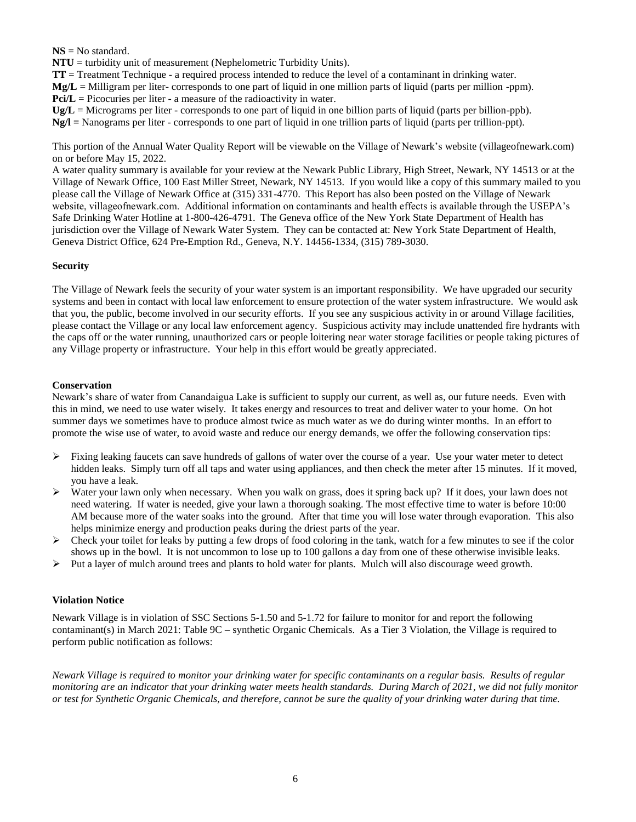**NS** = No standard.

**NTU** = turbidity unit of measurement (Nephelometric Turbidity Units).

**TT** = Treatment Technique - a required process intended to reduce the level of a contaminant in drinking water.

**Mg/L** = Milligram per liter- corresponds to one part of liquid in one million parts of liquid (parts per million -ppm).

**Pci/L** = Picocuries per liter - a measure of the radioactivity in water.

**Ug/L** = Micrograms per liter - corresponds to one part of liquid in one billion parts of liquid (parts per billion-ppb).

**Ng/l =** Nanograms per liter - corresponds to one part of liquid in one trillion parts of liquid (parts per trillion-ppt).

This portion of the Annual Water Quality Report will be viewable on the Village of Newark's website (villageofnewark.com) on or before May 15, 2022.

A water quality summary is available for your review at the Newark Public Library, High Street, Newark, NY 14513 or at the Village of Newark Office, 100 East Miller Street, Newark, NY 14513. If you would like a copy of this summary mailed to you please call the Village of Newark Office at (315) 331-4770. This Report has also been posted on the Village of Newark website, villageofnewark.com. Additional information on contaminants and health effects is available through the USEPA's Safe Drinking Water Hotline at 1-800-426-4791. The Geneva office of the New York State Department of Health has jurisdiction over the Village of Newark Water System. They can be contacted at: New York State Department of Health, Geneva District Office, 624 Pre-Emption Rd., Geneva, N.Y. 14456-1334, (315) 789-3030.

# **Security**

The Village of Newark feels the security of your water system is an important responsibility. We have upgraded our security systems and been in contact with local law enforcement to ensure protection of the water system infrastructure. We would ask that you, the public, become involved in our security efforts. If you see any suspicious activity in or around Village facilities, please contact the Village or any local law enforcement agency. Suspicious activity may include unattended fire hydrants with the caps off or the water running, unauthorized cars or people loitering near water storage facilities or people taking pictures of any Village property or infrastructure. Your help in this effort would be greatly appreciated.

# **Conservation**

Newark's share of water from Canandaigua Lake is sufficient to supply our current, as well as, our future needs. Even with this in mind, we need to use water wisely. It takes energy and resources to treat and deliver water to your home. On hot summer days we sometimes have to produce almost twice as much water as we do during winter months. In an effort to promote the wise use of water, to avoid waste and reduce our energy demands, we offer the following conservation tips:

- $\triangleright$  Fixing leaking faucets can save hundreds of gallons of water over the course of a year. Use your water meter to detect hidden leaks. Simply turn off all taps and water using appliances, and then check the meter after 15 minutes. If it moved, you have a leak.
- $\triangleright$  Water your lawn only when necessary. When you walk on grass, does it spring back up? If it does, your lawn does not need watering. If water is needed, give your lawn a thorough soaking. The most effective time to water is before 10:00 AM because more of the water soaks into the ground. After that time you will lose water through evaporation. This also helps minimize energy and production peaks during the driest parts of the year.
- $\triangleright$  Check your toilet for leaks by putting a few drops of food coloring in the tank, watch for a few minutes to see if the color shows up in the bowl. It is not uncommon to lose up to 100 gallons a day from one of these otherwise invisible leaks.
- $\triangleright$  Put a layer of mulch around trees and plants to hold water for plants. Mulch will also discourage weed growth.

## **Violation Notice**

Newark Village is in violation of SSC Sections 5-1.50 and 5-1.72 for failure to monitor for and report the following contaminant(s) in March 2021: Table 9C – synthetic Organic Chemicals. As a Tier 3 Violation, the Village is required to perform public notification as follows:

*Newark Village is required to monitor your drinking water for specific contaminants on a regular basis. Results of regular monitoring are an indicator that your drinking water meets health standards. During March of 2021, we did not fully monitor or test for Synthetic Organic Chemicals, and therefore, cannot be sure the quality of your drinking water during that time.*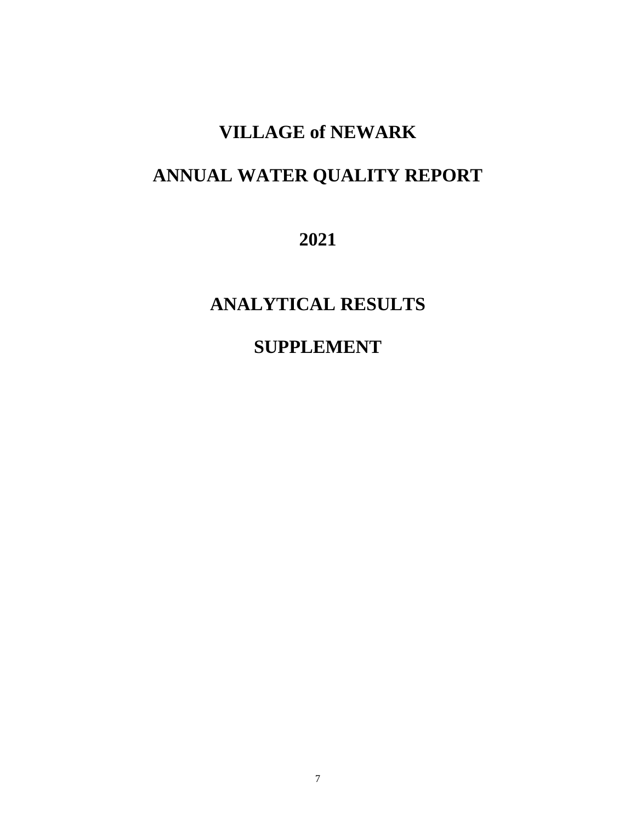# **VILLAGE of NEWARK**

# **ANNUAL WATER QUALITY REPORT**

**2021**

**ANALYTICAL RESULTS**

**SUPPLEMENT**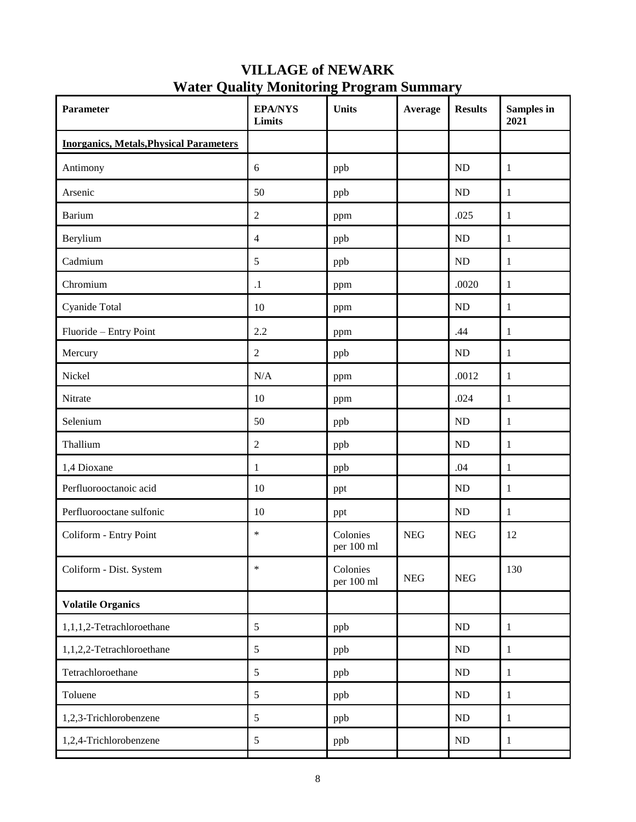# **VILLAGE of NEWARK Water Quality Monitoring Program Summary**

| Parameter                                      | <b>EPA/NYS</b><br><b>Limits</b> | <b>Units</b>           | Average    | <b>Results</b> | Samples in<br>2021 |
|------------------------------------------------|---------------------------------|------------------------|------------|----------------|--------------------|
| <b>Inorganics, Metals, Physical Parameters</b> |                                 |                        |            |                |                    |
| Antimony                                       | 6                               | ppb                    |            | ND             | 1                  |
| Arsenic                                        | 50                              | ppb                    |            | ND             | $\mathbf{1}$       |
| <b>Barium</b>                                  | $\sqrt{2}$                      | ppm                    |            | .025           | $\mathbf{1}$       |
| Berylium                                       | $\overline{4}$                  | ppb                    |            | ${\rm ND}$     | $\mathbf{1}$       |
| Cadmium                                        | $\mathfrak{S}$                  | ppb                    |            | ND             | $\mathbf{1}$       |
| Chromium                                       | $\cdot$ 1                       | ppm                    |            | .0020          | $\mathbf{1}$       |
| Cyanide Total                                  | 10                              | ppm                    |            | ${\rm ND}$     | $\mathbf{1}$       |
| Fluoride - Entry Point                         | 2.2                             | ppm                    |            | .44            | $\mathbf{1}$       |
| Mercury                                        | $\overline{2}$                  | ppb                    |            | ND             | $\mathbf{1}$       |
| Nickel                                         | $\rm N/A$                       | ppm                    |            | .0012          | $\mathbf{1}$       |
| Nitrate                                        | 10                              | ppm                    |            | .024           | $\mathbf{1}$       |
| Selenium                                       | 50                              | ppb                    |            | $\rm ND$       | $\mathbf{1}$       |
| Thallium                                       | $\overline{2}$                  | ppb                    |            | $\rm ND$       | $\mathbf{1}$       |
| 1,4 Dioxane                                    | $\mathbf{1}$                    | ppb                    |            | .04            | $\mathbf{1}$       |
| Perfluorooctanoic acid                         | 10                              | ppt                    |            | ${\rm ND}$     | $\mathbf{1}$       |
| Perfluorooctane sulfonic                       | 10                              | ppt                    |            | $\rm ND$       | 1                  |
| Coliform - Entry Point                         | $\ast$                          | Colonies<br>per 100 ml | <b>NEG</b> | <b>NEG</b>     | 12                 |
| Coliform - Dist. System                        | $\ast$                          | Colonies<br>per 100 ml | <b>NEG</b> | <b>NEG</b>     | 130                |
| <b>Volatile Organics</b>                       |                                 |                        |            |                |                    |
| 1,1,1,2-Tetrachloroethane                      | 5                               | ppb                    |            | $\rm ND$       | $\mathbf{1}$       |
| 1,1,2,2-Tetrachloroethane                      | $\mathfrak{S}$                  | ppb                    |            | $\rm ND$       | $\mathbf{1}$       |
| Tetrachloroethane                              | $\mathfrak{S}$                  | ppb                    |            | ND             | $\mathbf{1}$       |
| Toluene                                        | $\mathfrak{S}$                  | ppb                    |            | $\rm ND$       | $\mathbf{1}$       |
| 1,2,3-Trichlorobenzene                         | 5                               | ppb                    |            | $\rm ND$       | $\mathbf{1}$       |
| 1,2,4-Trichlorobenzene                         | $\mathfrak s$                   | ppb                    |            | ND             | $\mathbf{1}$       |
|                                                |                                 |                        |            |                |                    |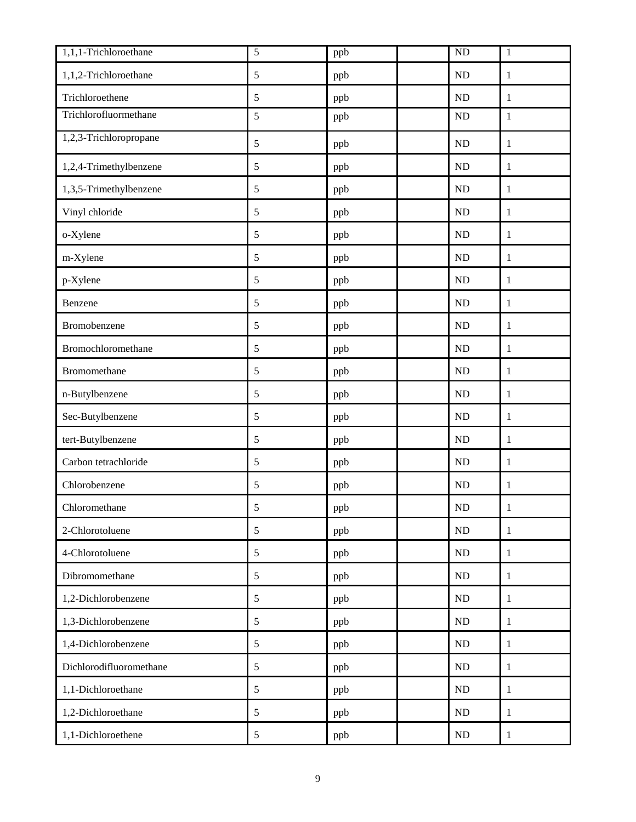| 1,1,1-Trichloroethane   | 5             | ppb | ND         | $\mathbf{1}$ |
|-------------------------|---------------|-----|------------|--------------|
| 1,1,2-Trichloroethane   | 5             | ppb | ND         | $\mathbf{1}$ |
| Trichloroethene         | $\mathfrak s$ | ppb | <b>ND</b>  | 1            |
| Trichlorofluormethane   | 5             | ppb | ND         | $1\,$        |
| 1,2,3-Trichloropropane  | $\sqrt{5}$    | ppb | ${\rm ND}$ | $\mathbf{1}$ |
| 1,2,4-Trimethylbenzene  | $\sqrt{5}$    | ppb | <b>ND</b>  | $\mathbf{1}$ |
| 1,3,5-Trimethylbenzene  | $\sqrt{5}$    | ppb | ND         | $\mathbf{1}$ |
| Vinyl chloride          | $\mathfrak s$ | ppb | ND         | $\mathbf{1}$ |
| o-Xylene                | $\mathfrak s$ | ppb | <b>ND</b>  | 1            |
| m-Xylene                | $\sqrt{5}$    | ppb | ND         | $\mathbf{1}$ |
| p-Xylene                | $\sqrt{5}$    | ppb | <b>ND</b>  | $\mathbf{1}$ |
| Benzene                 | $\mathfrak s$ | ppb | ND         | $\mathbf{1}$ |
| Bromobenzene            | $\sqrt{5}$    | ppb | ND         | $\mathbf{1}$ |
| Bromochloromethane      | 5             | ppb | ${\rm ND}$ | $\mathbf{1}$ |
| Bromomethane            | 5             | ppb | ND         | 1            |
| n-Butylbenzene          | $\mathfrak s$ | ppb | <b>ND</b>  | $\mathbf{1}$ |
| Sec-Butylbenzene        | $\sqrt{5}$    | ppb | ND         | $\mathbf{1}$ |
| tert-Butylbenzene       | $\sqrt{5}$    | ppb | ND         | $\mathbf{1}$ |
| Carbon tetrachloride    | $\mathfrak s$ | ppb | <b>ND</b>  | $\mathbf{1}$ |
| Chlorobenzene           | $\mathfrak s$ | ppb | ND         | $\mathbf{1}$ |
| Chloromethane           | 5             | ppb | $\rm ND$   | $\mathbf{1}$ |
| 2-Chlorotoluene         | $\sqrt{5}$    | ppb | <b>ND</b>  | $\mathbf{1}$ |
| 4-Chlorotoluene         | 5             | ppb | $\rm ND$   | $\mathbf{1}$ |
| Dibromomethane          | 5             | ppb | ND         | $\mathbf{1}$ |
| 1,2-Dichlorobenzene     | $\sqrt{5}$    | ppb | $\rm ND$   | $\mathbf{1}$ |
| 1,3-Dichlorobenzene     | 5             | ppb | $\rm ND$   | $\mathbf{1}$ |
| 1,4-Dichlorobenzene     | 5             | ppb | $\rm ND$   | $\mathbf{1}$ |
| Dichlorodifluoromethane | $\sqrt{5}$    | ppb | $\rm ND$   | $\mathbf{1}$ |
| 1,1-Dichloroethane      | $\sqrt{5}$    | ppb | $\rm ND$   | $\mathbf{1}$ |
| 1,2-Dichloroethane      | $\mathfrak s$ | ppb | $\rm ND$   | $\mathbf{1}$ |
| 1,1-Dichloroethene      | $\sqrt{5}$    | ppb | $\rm ND$   | $\mathbf{1}$ |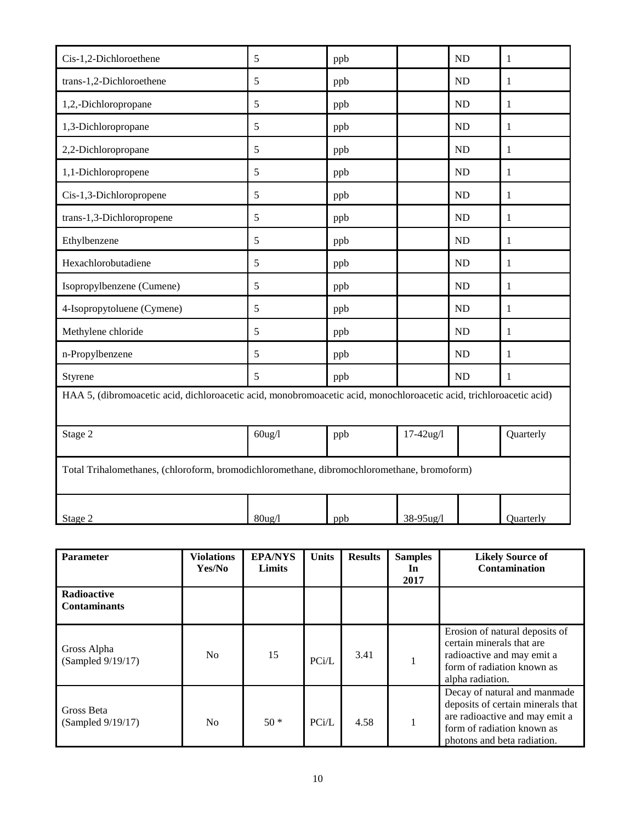| Cis-1,2-Dichloroethene                                                                                              | 5         | ppb |                | <b>ND</b> | $\mathbf{1}$ |  |  |  |
|---------------------------------------------------------------------------------------------------------------------|-----------|-----|----------------|-----------|--------------|--|--|--|
| trans-1,2-Dichloroethene                                                                                            | 5         | ppb |                | ND        | $\mathbf{1}$ |  |  |  |
| 1,2,-Dichloropropane                                                                                                | 5         | ppb |                | <b>ND</b> | $\mathbf{1}$ |  |  |  |
| 1,3-Dichloropropane                                                                                                 | 5         | ppb |                | ND        | 1            |  |  |  |
| 2,2-Dichloropropane                                                                                                 | 5         | ppb |                | <b>ND</b> | $\mathbf{1}$ |  |  |  |
| 1,1-Dichloropropene                                                                                                 | 5         | ppb |                | <b>ND</b> | $\mathbf{1}$ |  |  |  |
| Cis-1,3-Dichloropropene                                                                                             | 5         | ppb |                | <b>ND</b> | $\mathbf{1}$ |  |  |  |
| trans-1,3-Dichloropropene                                                                                           | 5         | ppb |                | <b>ND</b> | 1            |  |  |  |
| Ethylbenzene                                                                                                        | 5         | ppb |                | <b>ND</b> | $\mathbf{1}$ |  |  |  |
| Hexachlorobutadiene                                                                                                 | 5         | ppb |                | <b>ND</b> | $\mathbf{1}$ |  |  |  |
| Isopropylbenzene (Cumene)                                                                                           | 5         | ppb |                | <b>ND</b> | 1            |  |  |  |
| 4-Isopropytoluene (Cymene)                                                                                          | 5         | ppb |                | <b>ND</b> | $\mathbf{1}$ |  |  |  |
| Methylene chloride                                                                                                  | 5         | ppb |                | <b>ND</b> | $\mathbf{1}$ |  |  |  |
| n-Propylbenzene                                                                                                     | 5         | ppb |                | <b>ND</b> | $\mathbf{1}$ |  |  |  |
| Styrene                                                                                                             | 5         | ppb |                | <b>ND</b> | 1            |  |  |  |
| HAA 5, (dibromoacetic acid, dichloroacetic acid, monobromoacetic acid, monochloroacetic acid, trichloroacetic acid) |           |     |                |           |              |  |  |  |
| Stage 2                                                                                                             | $60$ ug/l | ppb | $17 - 42$ ug/l |           | Quarterly    |  |  |  |
| Total Trihalomethanes, (chloroform, bromodichloromethane, dibromochloromethane, bromoform)                          |           |     |                |           |              |  |  |  |
| Stage 2                                                                                                             | $80$ ug/l | ppb | 38-95ug/l      |           | Quarterly    |  |  |  |

| <b>Parameter</b>                   | <b>Violations</b><br>Yes/No | <b>EPA/NYS</b><br>Limits | <b>Units</b> | <b>Results</b> | <b>Samples</b><br>In<br>2017 | <b>Likely Source of</b><br>Contamination                                                                                                                         |
|------------------------------------|-----------------------------|--------------------------|--------------|----------------|------------------------------|------------------------------------------------------------------------------------------------------------------------------------------------------------------|
| Radioactive<br><b>Contaminants</b> |                             |                          |              |                |                              |                                                                                                                                                                  |
| Gross Alpha<br>(Sampled 9/19/17)   | N <sub>0</sub>              | 15                       | PCi/L        | 3.41           |                              | Erosion of natural deposits of<br>certain minerals that are<br>radioactive and may emit a<br>form of radiation known as<br>alpha radiation.                      |
| Gross Beta<br>(Sampled 9/19/17)    | N <sub>o</sub>              | $50*$                    | PCi/L        | 4.58           |                              | Decay of natural and manmade<br>deposits of certain minerals that<br>are radioactive and may emit a<br>form of radiation known as<br>photons and beta radiation. |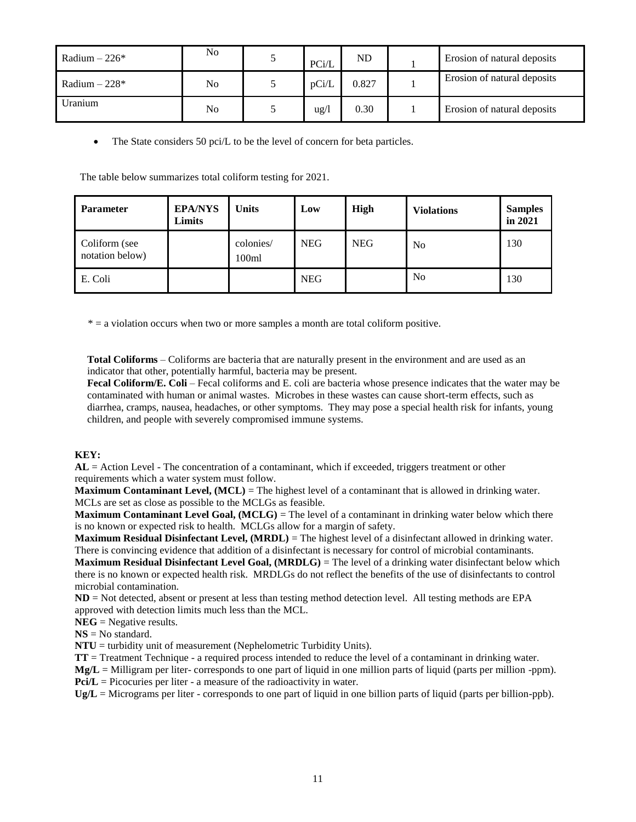| Radium $-226*$ | No | PCi/L | ND    | Erosion of natural deposits |
|----------------|----|-------|-------|-----------------------------|
| Radium $-228*$ | No | pCi/L | 0.827 | Erosion of natural deposits |
| Uranium        | No | ug/l  | 0.30  | Erosion of natural deposits |

• The State considers 50 pci/L to be the level of concern for beta particles.

The table below summarizes total coliform testing for 2021.

| <b>Parameter</b>                 | <b>EPA/NYS</b><br>Limits | <b>Units</b>       | Low        | High       | <b>Violations</b> | <b>Samples</b><br>in 2021 |
|----------------------------------|--------------------------|--------------------|------------|------------|-------------------|---------------------------|
| Coliform (see<br>notation below) |                          | colonies/<br>100ml | <b>NEG</b> | <b>NEG</b> | N <sub>0</sub>    | 130                       |
| E. Coli                          |                          |                    | <b>NEG</b> |            | N <sub>0</sub>    | 130                       |

\* = a violation occurs when two or more samples a month are total coliform positive.

**Total Coliforms** – Coliforms are bacteria that are naturally present in the environment and are used as an indicator that other, potentially harmful, bacteria may be present.

**Fecal Coliform/E. Coli** – Fecal coliforms and E. coli are bacteria whose presence indicates that the water may be contaminated with human or animal wastes. Microbes in these wastes can cause short-term effects, such as diarrhea, cramps, nausea, headaches, or other symptoms. They may pose a special health risk for infants, young children, and people with severely compromised immune systems.

## **KEY:**

**AL** = Action Level - The concentration of a contaminant, which if exceeded, triggers treatment or other requirements which a water system must follow.

**Maximum Contaminant Level, (MCL)** = The highest level of a contaminant that is allowed in drinking water. MCLs are set as close as possible to the MCLGs as feasible.

**Maximum Contaminant Level Goal, (MCLG)** = The level of a contaminant in drinking water below which there is no known or expected risk to health. MCLGs allow for a margin of safety.

**Maximum Residual Disinfectant Level, (MRDL)** = The highest level of a disinfectant allowed in drinking water. There is convincing evidence that addition of a disinfectant is necessary for control of microbial contaminants.

**Maximum Residual Disinfectant Level Goal, (MRDLG)** = The level of a drinking water disinfectant below which there is no known or expected health risk. MRDLGs do not reflect the benefits of the use of disinfectants to control microbial contamination.

**ND** = Not detected, absent or present at less than testing method detection level. All testing methods are EPA approved with detection limits much less than the MCL.

**NEG** = Negative results.

**NS** = No standard.

**NTU** = turbidity unit of measurement (Nephelometric Turbidity Units).

**TT** = Treatment Technique - a required process intended to reduce the level of a contaminant in drinking water.

**Mg/L** = Milligram per liter- corresponds to one part of liquid in one million parts of liquid (parts per million -ppm).

**Pci/L** = Picocuries per liter - a measure of the radioactivity in water.

**Ug/L** = Micrograms per liter - corresponds to one part of liquid in one billion parts of liquid (parts per billion-ppb).